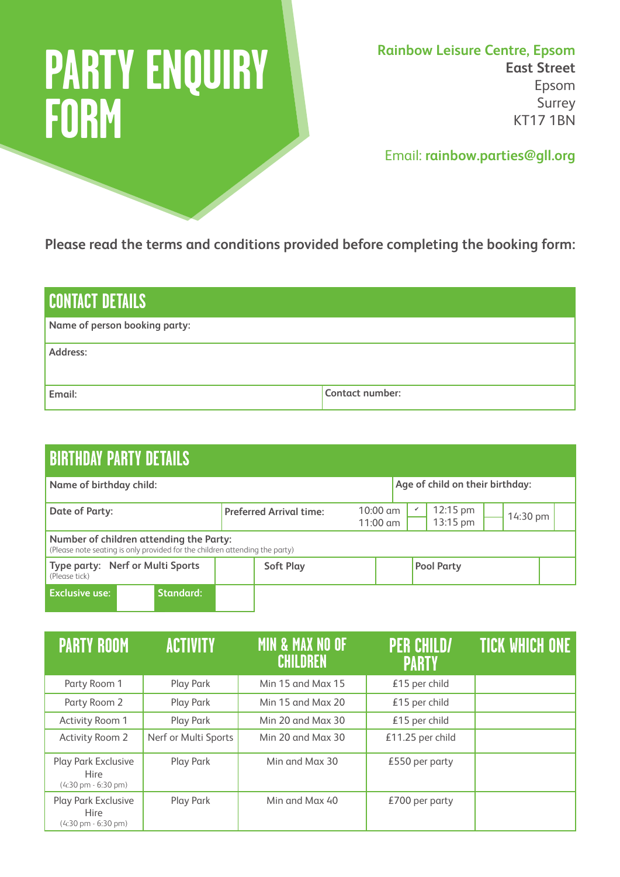## **PARTY ENQUIRY FORM**

**Rainbow Leisure Centre, Epsom East Street** Epsom Surrey KT17 1BN

Email: **rainbow.parties@gll.org**

**Please read the terms and conditions provided before completing the booking form:**

| <b>CONTACT DETAILS</b>        |                 |  |  |  |
|-------------------------------|-----------------|--|--|--|
| Name of person booking party: |                 |  |  |  |
| Address:                      |                 |  |  |  |
| Email:                        | Contact number: |  |  |  |

| <b>BIRTHDAY PARTY DETAILS</b>                                                                                          |                                |                                                                                   |  |  |  |  |  |
|------------------------------------------------------------------------------------------------------------------------|--------------------------------|-----------------------------------------------------------------------------------|--|--|--|--|--|
| Name of birthday child:                                                                                                |                                | Age of child on their birthday:                                                   |  |  |  |  |  |
| <b>Date of Party:</b>                                                                                                  | <b>Preferred Arrival time:</b> | 12:15 pm<br>$10:00 \text{ cm}$<br>v<br>14:30 pm<br>13:15 pm<br>$11:00 \text{ cm}$ |  |  |  |  |  |
| Number of children attending the Party:<br>(Please note seating is only provided for the children attending the party) |                                |                                                                                   |  |  |  |  |  |
| Type party: Nerf or Multi Sports<br>(Please tick)                                                                      | <b>Soft Play</b>               | <b>Pool Party</b>                                                                 |  |  |  |  |  |
| <b>Exclusive use:</b><br><b>Standard:</b>                                                                              |                                |                                                                                   |  |  |  |  |  |

| <b>PARTY ROOM</b>                                                               | <b>ACTIVITY</b>      | <b>MIN &amp; MAX NO OF</b><br><b>CHILDREN</b> | <b>PER CHILD/</b><br><b>PARTY</b> | <b>TICK WHICH ONE</b> |
|---------------------------------------------------------------------------------|----------------------|-----------------------------------------------|-----------------------------------|-----------------------|
| Party Room 1                                                                    | Play Park            | Min 15 and Max 15                             | £15 per child                     |                       |
| Party Room 2                                                                    | Play Park            | Min 15 and Max 20                             | £15 per child                     |                       |
| Activity Room 1                                                                 | Play Park            | Min 20 and Max 30                             | £15 per child                     |                       |
| Activity Room 2                                                                 | Nerf or Multi Sports | Min 20 and Max 30                             | £11.25 per child                  |                       |
| Play Park Exclusive<br><b>Hire</b><br>$(4:30 \text{ pm} \cdot 6:30 \text{ pm})$ | Play Park            | Min and Max 30                                | $£550$ per party                  |                       |
| Play Park Exclusive<br><b>Hire</b><br>$(4:30 \text{ pm} - 6:30 \text{ pm})$     | Play Park            | Min and Max 40                                | €700 per party                    |                       |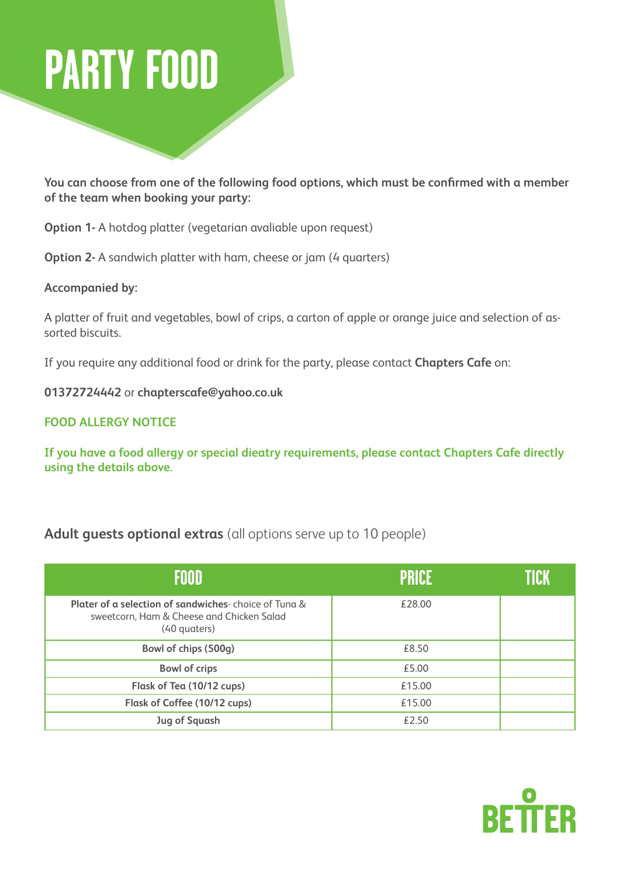## **PARTY FOOD**

**You can choose from one of the following food options, which must be confirmed with a member of the team when booking your party:**

**Option 1-** A hotdog platter (vegetarian avaliable upon request)

**Option 2-** A sandwich platter with ham, cheese or jam (4 quarters)

**Accompanied by:**

A platter of fruit and vegetables, bowl of crips, a carton of apple or orange juice and selection of assorted biscuits.

If you require any additional food or drink for the party, please contact **Chapters Cafe** on:

**01372724442** or **chapterscafe@yahoo.co.uk**

## **FOOD ALLERGY NOTICE**

**If you have a food allergy or special dieatry requirements, please contact Chapters Cafe directly using the details above.**

## **Adult guests optional extras** (all options serve up to 10 people)

| FOOD                                                                                                              | <b>PRICE</b> | TICK |
|-------------------------------------------------------------------------------------------------------------------|--------------|------|
| Plater of a selection of sandwiches choice of Tuna &<br>sweetcorn, Ham & Cheese and Chicken Salad<br>(40 quaters) | €28.00       |      |
| Bowl of chips (500g)                                                                                              | £8.50        |      |
| <b>Bowl of crips</b>                                                                                              | £5.00        |      |
| Flask of Tea (10/12 cups)                                                                                         | £15.00       |      |
| Flask of Coffee (10/12 cups)                                                                                      | €15.00       |      |
| <b>Jug of Squash</b>                                                                                              | £2.50        |      |